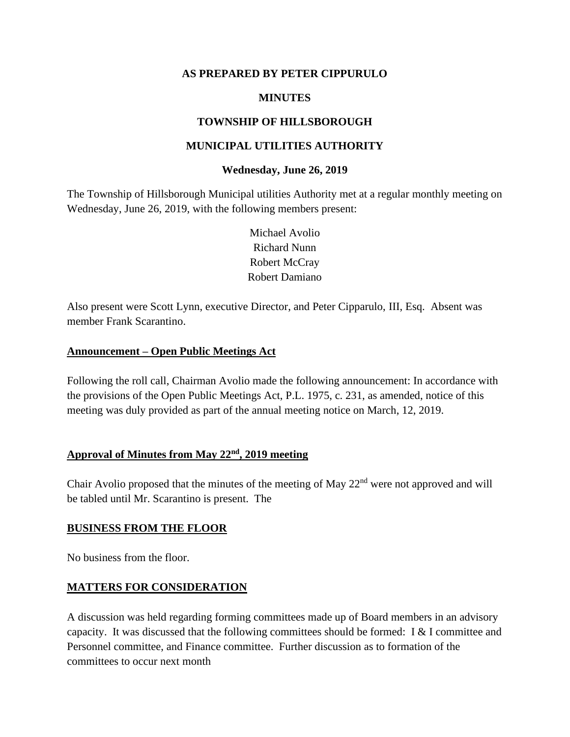#### **AS PREPARED BY PETER CIPPURULO**

## **MINUTES**

## **TOWNSHIP OF HILLSBOROUGH**

#### **MUNICIPAL UTILITIES AUTHORITY**

#### **Wednesday, June 26, 2019**

The Township of Hillsborough Municipal utilities Authority met at a regular monthly meeting on Wednesday, June 26, 2019, with the following members present:

> Michael Avolio Richard Nunn Robert McCray Robert Damiano

Also present were Scott Lynn, executive Director, and Peter Cipparulo, III, Esq. Absent was member Frank Scarantino.

## **Announcement – Open Public Meetings Act**

Following the roll call, Chairman Avolio made the following announcement: In accordance with the provisions of the Open Public Meetings Act, P.L. 1975, c. 231, as amended, notice of this meeting was duly provided as part of the annual meeting notice on March, 12, 2019.

## **Approval of Minutes from May 22nd, 2019 meeting**

Chair Avolio proposed that the minutes of the meeting of May 22<sup>nd</sup> were not approved and will be tabled until Mr. Scarantino is present. The

#### **BUSINESS FROM THE FLOOR**

No business from the floor.

#### **MATTERS FOR CONSIDERATION**

A discussion was held regarding forming committees made up of Board members in an advisory capacity. It was discussed that the following committees should be formed: I & I committee and Personnel committee, and Finance committee. Further discussion as to formation of the committees to occur next month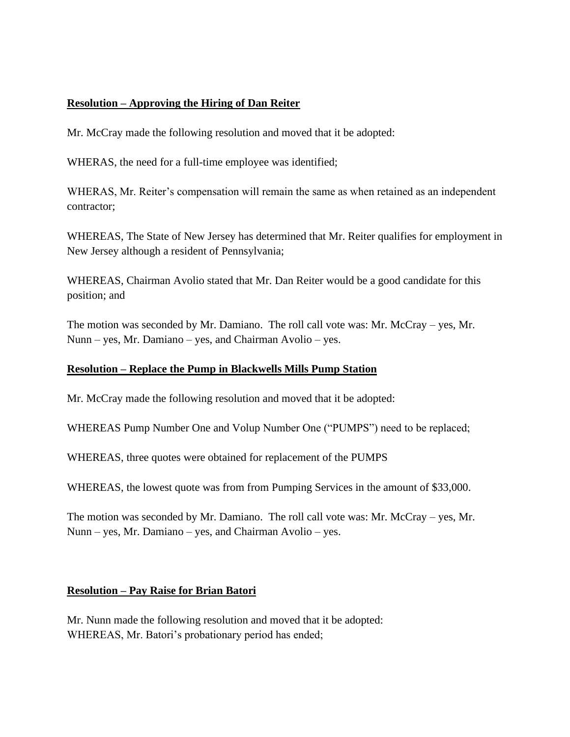## **Resolution – Approving the Hiring of Dan Reiter**

Mr. McCray made the following resolution and moved that it be adopted:

WHERAS, the need for a full-time employee was identified;

WHERAS, Mr. Reiter's compensation will remain the same as when retained as an independent contractor;

WHEREAS, The State of New Jersey has determined that Mr. Reiter qualifies for employment in New Jersey although a resident of Pennsylvania;

WHEREAS, Chairman Avolio stated that Mr. Dan Reiter would be a good candidate for this position; and

The motion was seconded by Mr. Damiano. The roll call vote was: Mr. McCray – yes, Mr. Nunn – yes, Mr. Damiano – yes, and Chairman Avolio – yes.

#### **Resolution – Replace the Pump in Blackwells Mills Pump Station**

Mr. McCray made the following resolution and moved that it be adopted:

WHEREAS Pump Number One and Volup Number One ("PUMPS") need to be replaced;

WHEREAS, three quotes were obtained for replacement of the PUMPS

WHEREAS, the lowest quote was from from Pumping Services in the amount of \$33,000.

The motion was seconded by Mr. Damiano. The roll call vote was: Mr. McCray – yes, Mr. Nunn – yes, Mr. Damiano – yes, and Chairman Avolio – yes.

#### **Resolution – Pay Raise for Brian Batori**

Mr. Nunn made the following resolution and moved that it be adopted: WHEREAS, Mr. Batori's probationary period has ended;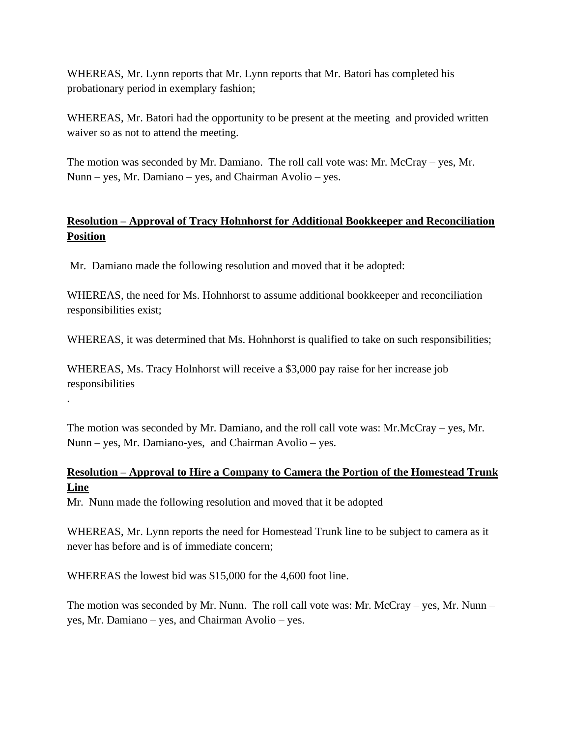WHEREAS, Mr. Lynn reports that Mr. Lynn reports that Mr. Batori has completed his probationary period in exemplary fashion;

WHEREAS, Mr. Batori had the opportunity to be present at the meeting and provided written waiver so as not to attend the meeting.

The motion was seconded by Mr. Damiano. The roll call vote was: Mr. McCray – yes, Mr. Nunn – yes, Mr. Damiano – yes, and Chairman Avolio – yes.

# **Resolution – Approval of Tracy Hohnhorst for Additional Bookkeeper and Reconciliation Position**

Mr. Damiano made the following resolution and moved that it be adopted:

WHEREAS, the need for Ms. Hohnhorst to assume additional bookkeeper and reconciliation responsibilities exist;

WHEREAS, it was determined that Ms. Hohnhorst is qualified to take on such responsibilities;

WHEREAS, Ms. Tracy Holnhorst will receive a \$3,000 pay raise for her increase job responsibilities

The motion was seconded by Mr. Damiano, and the roll call vote was: Mr.McCray – yes, Mr. Nunn – yes, Mr. Damiano-yes, and Chairman Avolio – yes.

# **Resolution – Approval to Hire a Company to Camera the Portion of the Homestead Trunk Line**

Mr. Nunn made the following resolution and moved that it be adopted

WHEREAS, Mr. Lynn reports the need for Homestead Trunk line to be subject to camera as it never has before and is of immediate concern;

WHEREAS the lowest bid was \$15,000 for the 4,600 foot line.

.

The motion was seconded by Mr. Nunn. The roll call vote was: Mr. McCray – yes, Mr. Nunn – yes, Mr. Damiano – yes, and Chairman Avolio – yes.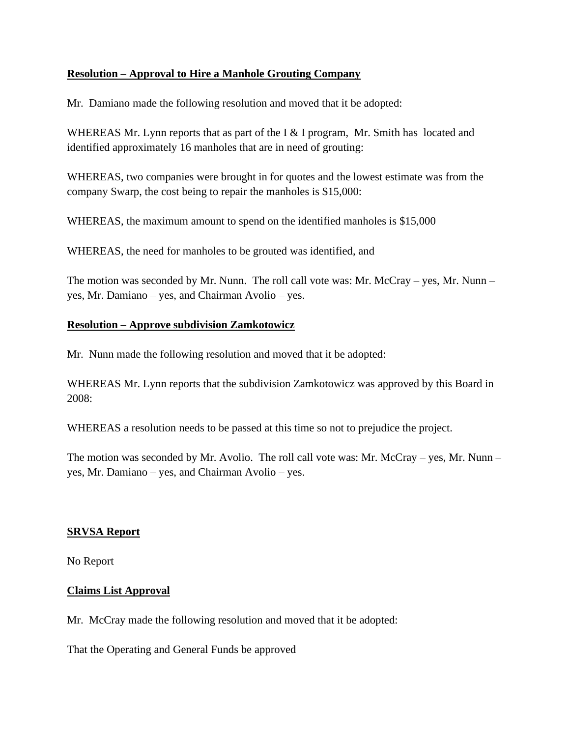## **Resolution – Approval to Hire a Manhole Grouting Company**

Mr. Damiano made the following resolution and moved that it be adopted:

WHEREAS Mr. Lynn reports that as part of the I & I program, Mr. Smith has located and identified approximately 16 manholes that are in need of grouting:

WHEREAS, two companies were brought in for quotes and the lowest estimate was from the company Swarp, the cost being to repair the manholes is \$15,000:

WHEREAS, the maximum amount to spend on the identified manholes is \$15,000

WHEREAS, the need for manholes to be grouted was identified, and

The motion was seconded by Mr. Nunn. The roll call vote was: Mr. McCray – yes, Mr. Nunn – yes, Mr. Damiano – yes, and Chairman Avolio – yes.

## **Resolution – Approve subdivision Zamkotowicz**

Mr. Nunn made the following resolution and moved that it be adopted:

WHEREAS Mr. Lynn reports that the subdivision Zamkotowicz was approved by this Board in 2008:

WHEREAS a resolution needs to be passed at this time so not to prejudice the project.

The motion was seconded by Mr. Avolio. The roll call vote was: Mr. McCray – yes, Mr. Nunn – yes, Mr. Damiano – yes, and Chairman Avolio – yes.

## **SRVSA Report**

No Report

## **Claims List Approval**

Mr. McCray made the following resolution and moved that it be adopted:

That the Operating and General Funds be approved